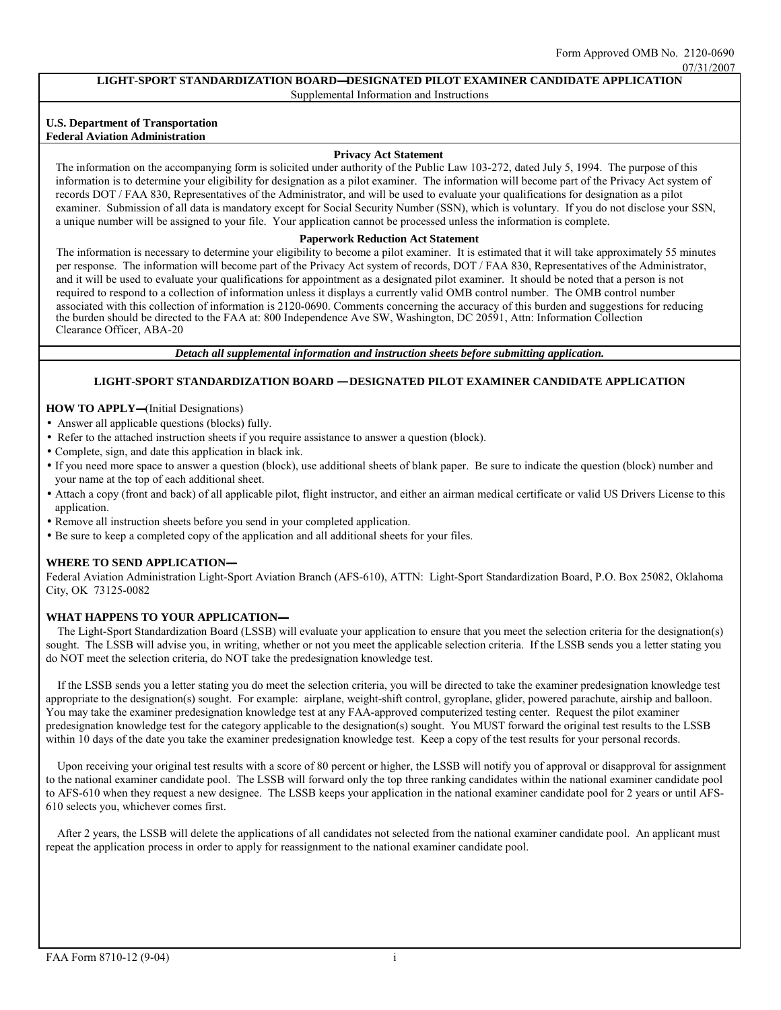07/31/2007

#### **LIGHT-SPORT STANDARDIZATION BOARD** —**DESIGNATED PILOT EXAMINER CANDIDATE APPLICATION**  Supplemental Information and Instructions

#### **U.S. Department of Transportation Federal Aviation Administration**

#### **Privacy Act Statement**

The information on the accompanying form is solicited under authority of the Public Law 103-272, dated July 5, 1994. The purpose of this information is to determine your eligibility for designation as a pilot examiner. The information will become part of the Privacy Act system of records DOT / FAA 830, Representatives of the Administrator, and will be used to evaluate your qualifications for designation as a pilot examiner. Submission of all data is mandatory except for Social Security Number (SSN), which is voluntary. If you do not disclose your SSN, a unique number will be assigned to your file. Your application cannot be processed unless the information is complete.

#### **Paperwork Reduction Act Statement**

The information is necessary to determine your eligibility to become a pilot examiner. It is estimated that it will take approximately 55 minutes per response. The information will become part of the Privacy Act system of records, DOT / FAA 830, Representatives of the Administrator, and it will be used to evaluate your qualifications for appointment as a designated pilot examiner. It should be noted that a person is not required to respond to a collection of information unless it displays a currently valid OMB control number. The OMB control number associated with this collection of information is 2120-0690. Comments concerning the accuracy of this burden and suggestions for reducing the burden should be directed to the FAA at: 800 Independence Ave SW, Washington, DC 20591, Attn: Information Collection Clearance Officer, ABA-20

*Detach all supplemental information and instruction sheets before submitting application.* 

## LIGHT-SPORT STANDARDIZATION BOARD **–** DESIGNATED PILOT EXAMINER CANDIDATE APPLICATION

### — **HOW TO APPLY** (Initial Designations)

- Answer all applicable questions (blocks) fully.
- Refer to the attached instruction sheets if you require assistance to answer a question (block).
- Complete, sign, and date this application in black ink.
- If you need more space to answer a question (block), use additional sheets of blank paper. Be sure to indicate the question (block) number and your name at the top of each additional sheet.
- Attach a copy (front and back) of all applicable pilot, flight instructor, and either an airman medical certificate or valid US Drivers License to this application.
- Remove all instruction sheets before you send in your completed application.
- Be sure to keep a completed copy of the application and all additional sheets for your files.

## **WHERE TO SEND APPLICATION-**

Federal Aviation Administration Light-Sport Aviation Branch (AFS-610), ATTN: Light-Sport Standardization Board, P.O. Box 25082, Oklahoma City, OK 73125-0082

## — **WHAT HAPPENS TO YOUR APPLICATION**

The Light-Sport Standardization Board (LSSB) will evaluate your application to ensure that you meet the selection criteria for the designation(s) sought. The LSSB will advise you, in writing, whether or not you meet the applicable selection criteria. If the LSSB sends you a letter stating you do NOT meet the selection criteria, do NOT take the predesignation knowledge test.

If the LSSB sends you a letter stating you do meet the selection criteria, you will be directed to take the examiner predesignation knowledge test appropriate to the designation(s) sought. For example: airplane, weight-shift control, gyroplane, glider, powered parachute, airship and balloon. You may take the examiner predesignation knowledge test at any FAA-approved computerized testing center. Request the pilot examiner predesignation knowledge test for the category applicable to the designation(s) sought. You MUST forward the original test results to the LSSB within 10 days of the date you take the examiner predesignation knowledge test. Keep a copy of the test results for your personal records.

Upon receiving your original test results with a score of 80 percent or higher, the LSSB will notify you of approval or disapproval for assignment to the national examiner candidate pool. The LSSB will forward only the top three ranking candidates within the national examiner candidate pool to AFS-610 when they request a new designee. The LSSB keeps your application in the national examiner candidate pool for 2 years or until AFS-610 selects you, whichever comes first.

After 2 years, the LSSB will delete the applications of all candidates not selected from the national examiner candidate pool. An applicant must repeat the application process in order to apply for reassignment to the national examiner candidate pool.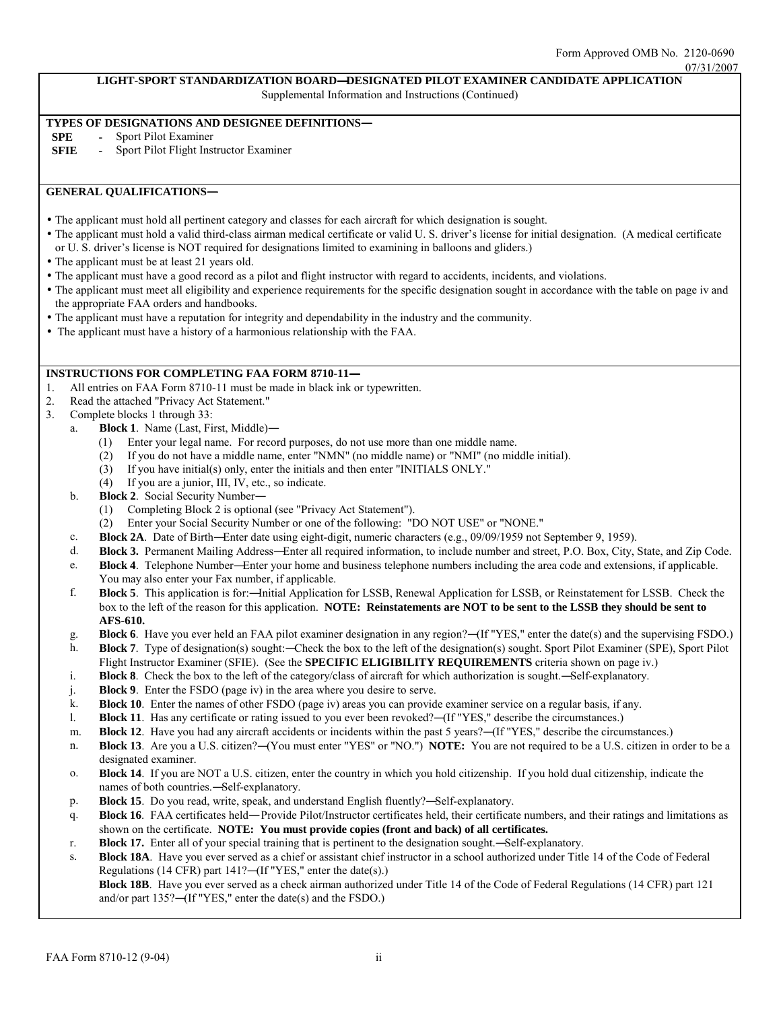#### 07/31/2007

## **LIGHT-SPORT STANDARDIZATION BOARD** —**DESIGNATED PILOT EXAMINER CANDIDATE APPLICATION**

Supplemental Information and Instructions (Continued)

# **TYPES OF DESIGNATIONS AND DESIGNEE DEFINITIONS-<br>SPE - Sport Pilot Examiner**

- **Sport Pilot Examiner**
- **SFIE -** Sport Pilot Flight Instructor Examiner

## **GENERAL QUALIFICATIONS**

- The applicant must hold all pertinent category and classes for each aircraft for which designation is sought.
- The applicant must hold a valid third-class airman medical certificate or valid U. S. driver's license for initial designation. (A medical certificate or U. S. driver's license is NOT required for designations limited to examining in balloons and gliders.)
- The applicant must be at least 21 years old.
- The applicant must have a good record as a pilot and flight instructor with regard to accidents, incidents, and violations.
- The applicant must meet all eligibility and experience requirements for the specific designation sought in accordance with the table on page iv and the appropriate FAA orders and handbooks.
- The applicant must have a reputation for integrity and dependability in the industry and the community.
- The applicant must have a history of a harmonious relationship with the FAA.

#### **INSTRUCTIONS FOR COMPLETING FAA FORM 8710-11-**

- 1. All entries on FAA Form 8710-11 must be made in black ink or typewritten.
- 2. Read the attached "Privacy Act Statement."
- 3. Complete blocks 1 through 33:
	- Block 1. Name (Last, First, Middle)-
		- (1) Enter your legal name. For record purposes, do not use more than one middle name.
		- (2) If you do not have a middle name, enter "NMN" (no middle name) or "NMI" (no middle initial).<br>  $(3)$  If you have initial(s) only, enter the initials and then enter "INITIALS ONLY."
		- If you have initial(s) only, enter the initials and then enter "INITIALS ONLY."
		- (4) If you are a junior, III, IV, etc., so indicate.
	- b. **Block 2**. Social Security Number—
		- (1) Completing Block 2 is optional (see "Privacy Act Statement").
		- (2) Enter your Social Security Number or one of the following: "DO NOT USE" or "NONE."
	- c. **Block 2A**. Date of Birth—Enter date using eight-digit, numeric characters (e.g., 09/09/1959 not September 9, 1959).
	- d. **Block 3.** Permanent Mailing Address—Enter all required information, to include number and street, P.O. Box, City, State, and Zip Code.
	- e. **Block 4**. Telephone Number—Enter your home and business telephone numbers including the area code and extensions, if applicable. You may also enter your Fax number, if applicable.
	- f. **Block 5**. This application is for:—Initial Application for LSSB, Renewal Application for LSSB, or Reinstatement for LSSB. Check the box to the left of the reason for this application. **NOTE: Reinstatements are NOT to be sent to the LSSB they should be sent to AFS-610.**
	- g. **Block 6**. Have you ever held an FAA pilot examiner designation in any region?—(If "YES," enter the date(s) and the supervising FSDO.)
	- h. **Block 7**. Type of designation(s) sought:—Check the box to the left of the designation(s) sought. Sport Pilot Examiner (SPE), Sport Pilot Flight Instructor Examiner (SFIE). (See the **SPECIFIC ELIGIBILITY REQUIREMENTS** criteria shown on page iv.)
	- i. **Block 8**. Check the box to the left of the category/class of aircraft for which authorization is sought.—Self-explanatory.
	- j. **Block 9**. Enter the FSDO (page iv) in the area where you desire to serve.
	- k. **Block 10**. Enter the names of other FSDO (page iv) areas you can provide examiner service on a regular basis, if any.
	- l. **Block 11**. Has any certificate or rating issued to you ever been revoked?—(If "YES," describe the circumstances.)
	- m. **Block 12**. Have you had any aircraft accidents or incidents within the past 5 years?—(If "YES," describe the circumstances.)
	- n. **Block 13**. Are you a U.S. citizen?—(You must enter "YES" or "NO.") **NOTE:** You are not required to be a U.S. citizen in order to be a designated examiner.
	- o. **Block 14**. If you are NOT a U.S. citizen, enter the country in which you hold citizenship. If you hold dual citizenship, indicate the names of both countries.—Self-explanatory.
	- p. **Block 15**. Do you read, write, speak, and understand English fluently?—Self-explanatory.
	- q. **Block 16**. FAA certificates held— Provide Pilot/Instructor certificates held, their certificate numbers, and their ratings and limitations as shown on the certificate. **NOTE: You must provide copies (front and back) of all certificates.**
	- r. **Block 17.** Enter all of your special training that is pertinent to the designation sought.—Self-explanatory.
	- s. **Block 18A**. Have you ever served as a chief or assistant chief instructor in a school authorized under Title 14 of the Code of Federal Regulations (14 CFR) part 141?—(If "YES," enter the date(s).)

**Block 18B**. Have you ever served as a check airman authorized under Title 14 of the Code of Federal Regulations (14 CFR) part 121 and/or part 135?—(If "YES," enter the date(s) and the FSDO.)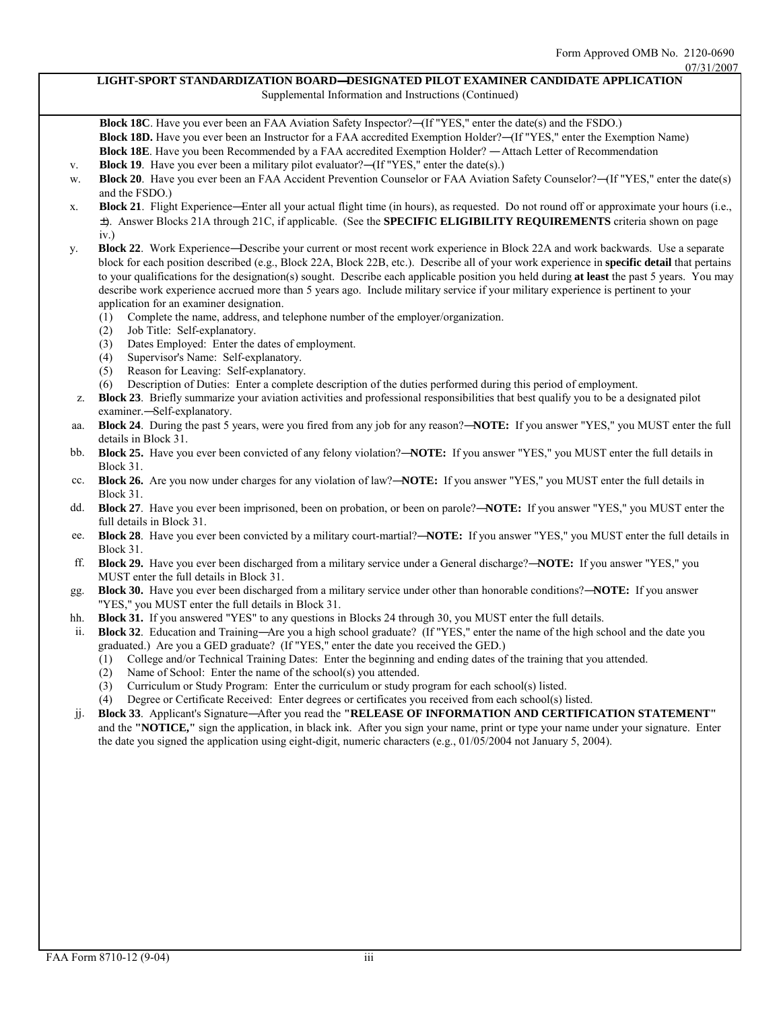#### **LIGHT-SPORT STANDARDIZATION BOARD**—**DESIGNATED PILOT EXAMINER CANDIDATE APPLICATION**  Supplemental Information and Instructions (Continued)

**Block 18C**. Have you ever been an FAA Aviation Safety Inspector?—(If "YES," enter the date(s) and the FSDO.) **Block 18D.** Have you ever been an Instructor for a FAA accredited Exemption Holder?—(If "YES," enter the Exemption Name) **Block 18E**. Have you been Recommended by a FAA accredited Exemption Holder? — Attach Letter of Recommendation

- v. **Block 19**. Have you ever been a military pilot evaluator?—(If "YES," enter the date(s).)
- w. **Block 20**. Have you ever been an FAA Accident Prevention Counselor or FAA Aviation Safety Counselor?—(If "YES," enter the date(s) and the FSDO.)
- x. **Block 21**. Flight Experience—Enter all your actual flight time (in hours), as requested. Do not round off or approximate your hours (i.e., ±). Answer Blocks 21A through 21C, if applicable. (See the **SPECIFIC ELIGIBILITY REQUIREMENTS** criteria shown on page iv.)
- y. **Block 22**. Work Experience—Describe your current or most recent work experience in Block 22A and work backwards. Use a separate block for each position described (e.g., Block 22A, Block 22B, etc.). Describe all of your work experience in **specific detail** that pertains to your qualifications for the designation(s) sought. Describe each applicable position you held during **at least** the past 5 years. You may describe work experience accrued more than 5 years ago. Include military service if your military experience is pertinent to your application for an examiner designation.
	- (1) Complete the name, address, and telephone number of the employer/organization.
	- (2) Job Title: Self-explanatory.
	- (3) Dates Employed: Enter the dates of employment.
	- (4) Supervisor's Name: Self-explanatory.
	- (5) Reason for Leaving: Self-explanatory.
	- (6) Description of Duties: Enter a complete description of the duties performed during this period of employment.
- z. **Block 23**. Briefly summarize your aviation activities and professional responsibilities that best qualify you to be a designated pilot examiner.—Self-explanatory.
- aa. **Block 24**. During the past 5 years, were you fired from any job for any reason?—**NOTE:** If you answer "YES," you MUST enter the full details in Block 31.
- bb. **Block 25.** Have you ever been convicted of any felony violation?—**NOTE:** If you answer "YES," you MUST enter the full details in Block 31.
- cc. **Block 26.** Are you now under charges for any violation of law?—**NOTE:** If you answer "YES," you MUST enter the full details in Block 31.
- dd. **Block 27**. Have you ever been imprisoned, been on probation, or been on parole?—**NOTE:** If you answer "YES," you MUST enter the full details in Block 31.
- ee. **Block 28**. Have you ever been convicted by a military court-martial?—**NOTE:** If you answer "YES," you MUST enter the full details in Block 31.
- ff. **Block 29.** Have you ever been discharged from a military service under a General discharge?—**NOTE:** If you answer "YES," you MUST enter the full details in Block 31.
- gg. **Block 30.** Have you ever been discharged from a military service under other than honorable conditions?—**NOTE:** If you answer "YES," you MUST enter the full details in Block 31.
- hh. **Block 31.** If you answered "YES" to any questions in Blocks 24 through 30, you MUST enter the full details.
- ii. **Block 32**. Education and Training—Are you a high school graduate? (If "YES," enter the name of the high school and the date you graduated.) Are you a GED graduate? (If "YES," enter the date you received the GED.)
	- (1) College and/or Technical Training Dates: Enter the beginning and ending dates of the training that you attended.
	- (2) Name of School: Enter the name of the school(s) you attended.
	- (3) Curriculum or Study Program: Enter the curriculum or study program for each school(s) listed.
	- (4) Degree or Certificate Received: Enter degrees or certificates you received from each school(s) listed.
- jj. **Block 33**. Applicant's Signature—After you read the **"RELEASE OF INFORMATION AND CERTIFICATION STATEMENT"**  and the **"NOTICE,"** sign the application, in black ink. After you sign your name, print or type your name under your signature. Enter the date you signed the application using eight-digit, numeric characters (e.g.,  $01/05/2004$  not January 5, 2004).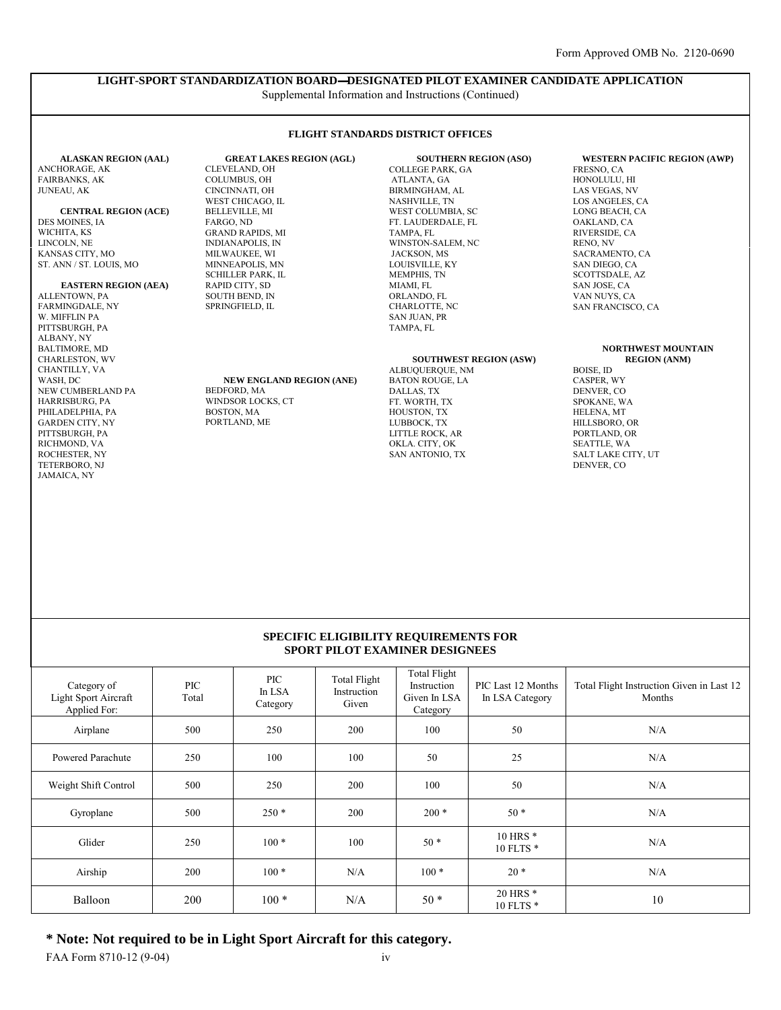## **LIGHT-SPORT STANDARDIZATION BOARD** —**DESIGNATED PILOT EXAMINER CANDIDATE APPLICATION**

**FLIGHT STANDARDS DISTRICT OFFICES** 

Supplemental Information and Instructions (Continued)

#### **ALASKAN REGION (AAL)**  ANCHORAGE, AK FAIRBANKS, AK JUNEAU, AK

**CENTRAL REGION (ACE)**  DES MOINES, IA WICHITA, KS LINCOLN, NE KANSAS CITY, MO ST. ANN / ST. LOUIS, MO

#### **EASTERN REGION (AEA)**

ALLENTOWN, PA FARMINGDALE, NY W. MIFFLIN PA PITTSBURGH, PA ALBANY, NY BALTIMORE, MD CHARLESTON, WV CHANTILLY, VA WASH, DC NEW CUMBERLAND PA HARRISBURG, PA PHILADELPHIA, PA GARDEN CITY, NY PITTSBURGH, PA RICHMOND, VA ROCHESTER, NY TETERBORO, NJ JAMAICA, NY

**GREAT LAKES REGION (AGL)**  CLEVELAND, OH COLUMBUS, OH CINCINNATI, OH WEST CHICAGO, IL BELLEVILLE, MI FARGO, ND GRAND RAPIDS, MI INDIANAPOLIS, IN MILWAUKEE, WI MINNEAPOLIS, MN SCHILLER PARK, IL RAPID CITY, SD SOUTH BEND, IN SPRINGFIELD, IL

#### **NEW ENGLAND REGION (ANE)**  BEDFORD, MA WINDSOR LOCKS, CT BOSTON, MA PORTLAND, ME

**SOUTHERN REGION (ASO)**  COLLEGE PARK, GA ATLANTA, GA BIRMINGHAM, AL NASHVILLE, TN WEST COLUMBIA, SC FT. LAUDERDALE, FL TAMPA, FL WINSTON-SALEM, NC JACKSON, MS LOUISVILLE, KY MEMPHIS, TN MIAMI, FL ORLANDO, FL CHARLOTTE, NC SAN JUAN, PR TAMPA FL

#### **SOUTHWEST REGION (ASW)**

ALBUQUERQUE, NM BATON ROUGE, LA DALLAS, TX FT. WORTH, TX HOUSTON, TX LUBBOCK, TX LITTLE ROCK, AR OKLA. CITY, OK SAN ANTONIO, TX

#### **WESTERN PACIFIC REGION (AWP)**

FRESNO, CA HONOLULU, HI LAS VEGAS, NV LOS ANGELES, CA LONG BEACH, CA OAKLAND, CA RIVERSIDE, CA RENO, NV SACRAMENTO, CA SAN DIEGO, CA SCOTTSDALE, AZ SAN JOSE, CA VAN NUYS, CA SAN FRANCISCO, CA

#### **NORTHWEST MOUNTAIN REGION (ANM)**

BOISE, ID CASPER, WY DENVER, CO SPOKANE, WA HELENA, MT HILLSBORO, OR PORTLAND, OR SEATTLE, WA SALT LAKE CITY, UT DENVER, CO

#### **SPECIFIC ELIGIBILITY REQUIREMENTS FOR SPORT PILOT EXAMINER DESIGNEES**

| Category of<br>Light Sport Aircraft<br>Applied For: | <b>PIC</b><br>Total | <b>PIC</b><br>In LSA<br>Category | <b>Total Flight</b><br>Instruction<br>Given | <b>Total Flight</b><br>Instruction<br>Given In LSA<br>Category | PIC Last 12 Months<br>In LSA Category | Total Flight Instruction Given in Last 12<br>Months |
|-----------------------------------------------------|---------------------|----------------------------------|---------------------------------------------|----------------------------------------------------------------|---------------------------------------|-----------------------------------------------------|
| Airplane                                            | 500                 | 250                              | 200                                         | 100                                                            | 50                                    | N/A                                                 |
| Powered Parachute                                   | 250                 | 100                              | 100                                         | 50                                                             | 25                                    | N/A                                                 |
| Weight Shift Control                                | 500                 | 250                              | 200                                         | 100                                                            | 50                                    | N/A                                                 |
| Gyroplane                                           | 500                 | $250*$                           | 200                                         | $200*$                                                         | $50*$                                 | N/A                                                 |
| Glider                                              | 250                 | $100*$                           | 100                                         | $50*$                                                          | 10 HRS *<br>10 FLTS *                 | N/A                                                 |
| Airship                                             | 200                 | $100*$                           | N/A                                         | $100*$                                                         | $20*$                                 | N/A                                                 |
| Balloon                                             | 200                 | $100*$                           | N/A                                         | $50*$                                                          | 20 HRS <sup>*</sup><br>10 FLTS *      | 10                                                  |

**\* Note: Not required to be in Light Sport Aircraft for this category.** 

FAA Form 8710-12 (9-04) iv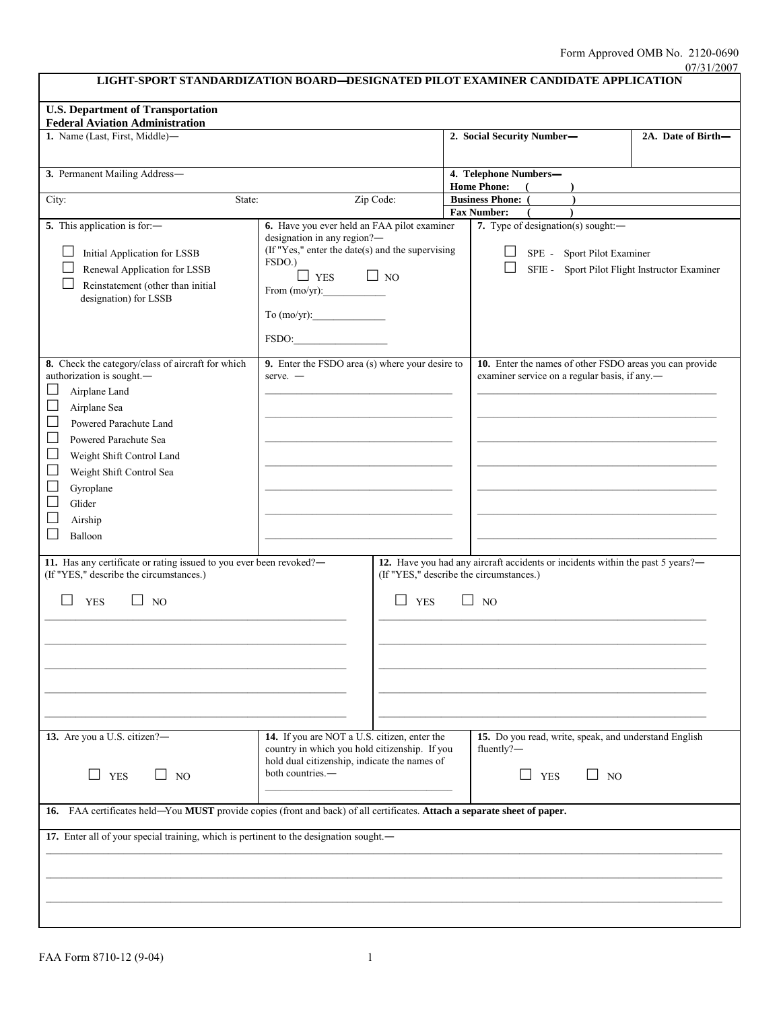| LIGHT-SPORT STANDARDIZATION BOARD-DESIGNATED PILOT EXAMINER CANDIDATE APPLICATION                                                                                                                                                                                                                                           |                                                                                                                                                                                                    |            |                                                |                                                                                                                                        | 07/31/2007 |  |
|-----------------------------------------------------------------------------------------------------------------------------------------------------------------------------------------------------------------------------------------------------------------------------------------------------------------------------|----------------------------------------------------------------------------------------------------------------------------------------------------------------------------------------------------|------------|------------------------------------------------|----------------------------------------------------------------------------------------------------------------------------------------|------------|--|
| <b>U.S. Department of Transportation</b>                                                                                                                                                                                                                                                                                    |                                                                                                                                                                                                    |            |                                                |                                                                                                                                        |            |  |
| <b>Federal Aviation Administration</b>                                                                                                                                                                                                                                                                                      |                                                                                                                                                                                                    |            |                                                |                                                                                                                                        |            |  |
| 1. Name (Last, First, Middle)-                                                                                                                                                                                                                                                                                              |                                                                                                                                                                                                    |            |                                                | 2. Social Security Number-<br>2A. Date of Birth-                                                                                       |            |  |
| 3. Permanent Mailing Address-                                                                                                                                                                                                                                                                                               |                                                                                                                                                                                                    |            | 4. Telephone Numbers-<br><b>Home Phone:</b>    |                                                                                                                                        |            |  |
| City:<br>State:                                                                                                                                                                                                                                                                                                             |                                                                                                                                                                                                    | Zip Code:  | <b>Business Phone:</b> (<br><b>Fax Number:</b> |                                                                                                                                        |            |  |
| 5. This application is for:-<br>Initial Application for LSSB<br>Renewal Application for LSSB<br>Reinstatement (other than initial<br>designation) for LSSB                                                                                                                                                                  | 6. Have you ever held an FAA pilot examiner<br>designation in any region?-<br>(If "Yes," enter the date(s) and the supervising<br>FSDO.)<br>$\Box$ YES<br>From $(mo/yr)$ :<br>To (mo/yr):<br>FSDO: | $\Box$ NO  |                                                | 7. Type of designation(s) sought:-<br>SPE - Sport Pilot Examiner<br>SFIE - Sport Pilot Flight Instructor Examiner                      |            |  |
| 8. Check the category/class of aircraft for which<br>authorization is sought.-<br>Airplane Land<br>Airplane Sea<br>Powered Parachute Land<br>$\sim$<br>Powered Parachute Sea<br>$\mathcal{L}_{\mathcal{A}}$<br>Weight Shift Control Land<br>$\sim$<br>Weight Shift Control Sea<br>Gyroplane<br>Glider<br>Airship<br>Balloon | 9. Enter the FSDO area (s) where your desire to<br>$serve. -$                                                                                                                                      |            |                                                | 10. Enter the names of other FSDO areas you can provide<br>examiner service on a regular basis, if any.                                |            |  |
| 11. Has any certificate or rating issued to you ever been revoked?-<br>(If "YES," describe the circumstances.)<br><b>YES</b><br>$\Box$ No                                                                                                                                                                                   |                                                                                                                                                                                                    | $\Box$ YES |                                                | 12. Have you had any aircraft accidents or incidents within the past 5 years?-<br>(If "YES," describe the circumstances.)<br>$\Box$ No |            |  |
| 13. Are you a U.S. citizen?-<br><b>YES</b><br>$\Box$ NO<br>$\Box$                                                                                                                                                                                                                                                           | 14. If you are NOT a U.S. citizen, enter the<br>country in which you hold citizenship. If you<br>hold dual citizenship, indicate the names of<br>both countries.-                                  |            |                                                | 15. Do you read, write, speak, and understand English<br>fluently?-<br>$\Box$ YES<br>$\Box$ NO                                         |            |  |
| 16. FAA certificates held-You MUST provide copies (front and back) of all certificates. Attach a separate sheet of paper.<br>17. Enter all of your special training, which is pertinent to the designation sought.-                                                                                                         |                                                                                                                                                                                                    |            |                                                |                                                                                                                                        |            |  |
|                                                                                                                                                                                                                                                                                                                             |                                                                                                                                                                                                    |            |                                                |                                                                                                                                        |            |  |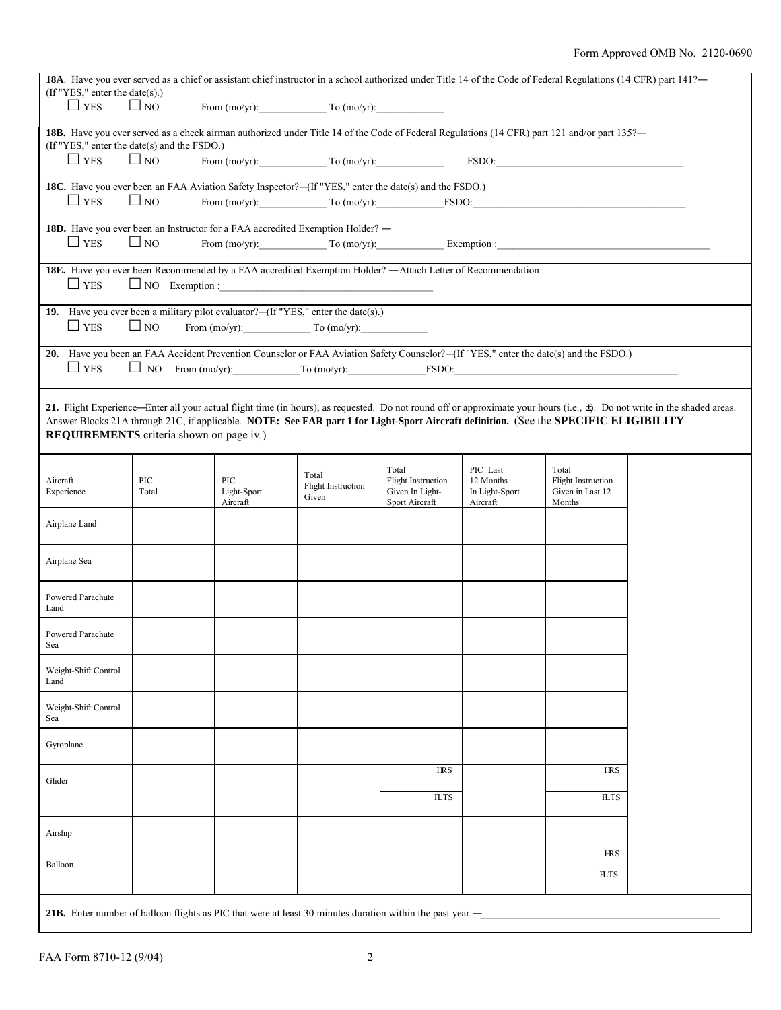| 18A. Have you ever served as a chief or assistant chief instructor in a school authorized under Title 14 of the Code of Federal Regulations (14 CFR) part 141?- |                                                                                                                                                      |             |                                    |                                    |                       |                                                                                                                                              |                                                                                                                                                                                |
|-----------------------------------------------------------------------------------------------------------------------------------------------------------------|------------------------------------------------------------------------------------------------------------------------------------------------------|-------------|------------------------------------|------------------------------------|-----------------------|----------------------------------------------------------------------------------------------------------------------------------------------|--------------------------------------------------------------------------------------------------------------------------------------------------------------------------------|
| (If "YES," enter the date(s).)<br>$\Box$ YES                                                                                                                    | $\Box$ NO                                                                                                                                            |             | From $(mo/yr)$ : To $(mo/yr)$ :    |                                    |                       |                                                                                                                                              |                                                                                                                                                                                |
|                                                                                                                                                                 |                                                                                                                                                      |             |                                    |                                    |                       |                                                                                                                                              |                                                                                                                                                                                |
| (If "YES," enter the date(s) and the FSDO.)                                                                                                                     |                                                                                                                                                      |             |                                    |                                    |                       | 188. Have you ever served as a check airman authorized under Title 14 of the Code of Federal Regulations (14 CFR) part 121 and/or part 135?- |                                                                                                                                                                                |
| $\Box$ YES                                                                                                                                                      | $\Box$ NO                                                                                                                                            |             |                                    |                                    |                       |                                                                                                                                              |                                                                                                                                                                                |
|                                                                                                                                                                 | From $(mo/yr)$ : To $(mo/yr)$ :<br>$FSDO: \underline{\hspace{2.5cm}}$                                                                                |             |                                    |                                    |                       |                                                                                                                                              |                                                                                                                                                                                |
|                                                                                                                                                                 | 18C. Have you ever been an FAA Aviation Safety Inspector?—(If "YES," enter the date(s) and the FSDO.)<br>From $(mo/yr)$ : To $(mo/yr)$ : FSDO: FSDO: |             |                                    |                                    |                       |                                                                                                                                              |                                                                                                                                                                                |
| $\Box$ YES                                                                                                                                                      | $\Box$ NO                                                                                                                                            |             |                                    |                                    |                       |                                                                                                                                              |                                                                                                                                                                                |
| 18D. Have you ever been an Instructor for a FAA accredited Exemption Holder? -                                                                                  |                                                                                                                                                      |             |                                    |                                    |                       |                                                                                                                                              |                                                                                                                                                                                |
| $\Box$ YES                                                                                                                                                      | $\Box$ NO                                                                                                                                            |             |                                    |                                    |                       |                                                                                                                                              |                                                                                                                                                                                |
| 18E. Have you ever been Recommended by a FAA accredited Exemption Holder? - Attach Letter of Recommendation                                                     |                                                                                                                                                      |             |                                    |                                    |                       |                                                                                                                                              |                                                                                                                                                                                |
| $\Box$ YES                                                                                                                                                      |                                                                                                                                                      |             |                                    |                                    |                       |                                                                                                                                              |                                                                                                                                                                                |
|                                                                                                                                                                 |                                                                                                                                                      |             |                                    |                                    |                       |                                                                                                                                              |                                                                                                                                                                                |
| 19. Have you ever been a military pilot evaluator?—(If "YES," enter the date(s).)                                                                               |                                                                                                                                                      |             |                                    |                                    |                       |                                                                                                                                              |                                                                                                                                                                                |
| $\Box$ YES                                                                                                                                                      | $\Box$ NO                                                                                                                                            |             | From $(mo/yr)$ : To $(mo/yr)$ :    |                                    |                       |                                                                                                                                              |                                                                                                                                                                                |
| 20. Have you been an FAA Accident Prevention Counselor or FAA Aviation Safety Counselor?—(If "YES," enter the date(s) and the FSDO.)                            |                                                                                                                                                      |             |                                    |                                    |                       |                                                                                                                                              |                                                                                                                                                                                |
| $\Box$ YES                                                                                                                                                      |                                                                                                                                                      |             |                                    |                                    |                       | $\Box$ NO From (mo/yr): To (mo/yr): FSDO: FSDO:                                                                                              |                                                                                                                                                                                |
|                                                                                                                                                                 |                                                                                                                                                      |             |                                    |                                    |                       |                                                                                                                                              |                                                                                                                                                                                |
|                                                                                                                                                                 |                                                                                                                                                      |             |                                    |                                    |                       |                                                                                                                                              | 21. Flight Experience—Enter all your actual flight time (in hours), as requested. Do not round off or approximate your hours (i.e., $\pm$ ). Do not write in the shaded areas. |
|                                                                                                                                                                 |                                                                                                                                                      |             |                                    |                                    |                       | Answer Blocks 21A through 21C, if applicable. NOTE: See FAR part 1 for Light-Sport Aircraft definition. (See the SPECIFIC ELIGIBILITY        |                                                                                                                                                                                |
| <b>REQUIREMENTS</b> criteria shown on page iv.)                                                                                                                 |                                                                                                                                                      |             |                                    |                                    |                       |                                                                                                                                              |                                                                                                                                                                                |
|                                                                                                                                                                 |                                                                                                                                                      |             |                                    |                                    |                       |                                                                                                                                              |                                                                                                                                                                                |
| Aircraft                                                                                                                                                        | PIC                                                                                                                                                  | PIC         | Total                              | Total<br><b>Flight Instruction</b> | PIC Last<br>12 Months | Total<br><b>Flight Instruction</b>                                                                                                           |                                                                                                                                                                                |
| Experience                                                                                                                                                      | Total                                                                                                                                                | Light-Sport | <b>Flight Instruction</b><br>Given | Given In Light-                    | In Light-Sport        | Given in Last 12                                                                                                                             |                                                                                                                                                                                |
|                                                                                                                                                                 |                                                                                                                                                      | Aircraft    |                                    | Sport Aircraft                     | Aircraft              | Months                                                                                                                                       |                                                                                                                                                                                |
| Airplane Land                                                                                                                                                   |                                                                                                                                                      |             |                                    |                                    |                       |                                                                                                                                              |                                                                                                                                                                                |
|                                                                                                                                                                 |                                                                                                                                                      |             |                                    |                                    |                       |                                                                                                                                              |                                                                                                                                                                                |
| Airplane Sea                                                                                                                                                    |                                                                                                                                                      |             |                                    |                                    |                       |                                                                                                                                              |                                                                                                                                                                                |
|                                                                                                                                                                 |                                                                                                                                                      |             |                                    |                                    |                       |                                                                                                                                              |                                                                                                                                                                                |
| Powered Parachute                                                                                                                                               |                                                                                                                                                      |             |                                    |                                    |                       |                                                                                                                                              |                                                                                                                                                                                |
| Land                                                                                                                                                            |                                                                                                                                                      |             |                                    |                                    |                       |                                                                                                                                              |                                                                                                                                                                                |
| Powered Parachute                                                                                                                                               |                                                                                                                                                      |             |                                    |                                    |                       |                                                                                                                                              |                                                                                                                                                                                |
| Sea                                                                                                                                                             |                                                                                                                                                      |             |                                    |                                    |                       |                                                                                                                                              |                                                                                                                                                                                |
| Weight-Shift Control                                                                                                                                            |                                                                                                                                                      |             |                                    |                                    |                       |                                                                                                                                              |                                                                                                                                                                                |
| Land                                                                                                                                                            |                                                                                                                                                      |             |                                    |                                    |                       |                                                                                                                                              |                                                                                                                                                                                |
| Weight-Shift Control                                                                                                                                            |                                                                                                                                                      |             |                                    |                                    |                       |                                                                                                                                              |                                                                                                                                                                                |
| Sea                                                                                                                                                             |                                                                                                                                                      |             |                                    |                                    |                       |                                                                                                                                              |                                                                                                                                                                                |
|                                                                                                                                                                 |                                                                                                                                                      |             |                                    |                                    |                       |                                                                                                                                              |                                                                                                                                                                                |
| Gyroplane                                                                                                                                                       |                                                                                                                                                      |             |                                    |                                    |                       |                                                                                                                                              |                                                                                                                                                                                |
|                                                                                                                                                                 |                                                                                                                                                      |             |                                    | <b>HRS</b>                         |                       | <b>HRS</b>                                                                                                                                   |                                                                                                                                                                                |
| Glider                                                                                                                                                          |                                                                                                                                                      |             |                                    |                                    |                       |                                                                                                                                              |                                                                                                                                                                                |
|                                                                                                                                                                 |                                                                                                                                                      |             |                                    | <b>HTS</b>                         |                       | <b>HTS</b>                                                                                                                                   |                                                                                                                                                                                |
|                                                                                                                                                                 |                                                                                                                                                      |             |                                    |                                    |                       |                                                                                                                                              |                                                                                                                                                                                |
| Airship                                                                                                                                                         |                                                                                                                                                      |             |                                    |                                    |                       |                                                                                                                                              |                                                                                                                                                                                |
|                                                                                                                                                                 |                                                                                                                                                      |             |                                    |                                    |                       | <b>HRS</b>                                                                                                                                   |                                                                                                                                                                                |
| Balloon                                                                                                                                                         |                                                                                                                                                      |             |                                    |                                    |                       | RTS                                                                                                                                          |                                                                                                                                                                                |
|                                                                                                                                                                 |                                                                                                                                                      |             |                                    |                                    |                       |                                                                                                                                              |                                                                                                                                                                                |
| <b>21B.</b> Enter number of balloon flights as PIC that were at least 30 minutes duration within the past year.—                                                |                                                                                                                                                      |             |                                    |                                    |                       |                                                                                                                                              |                                                                                                                                                                                |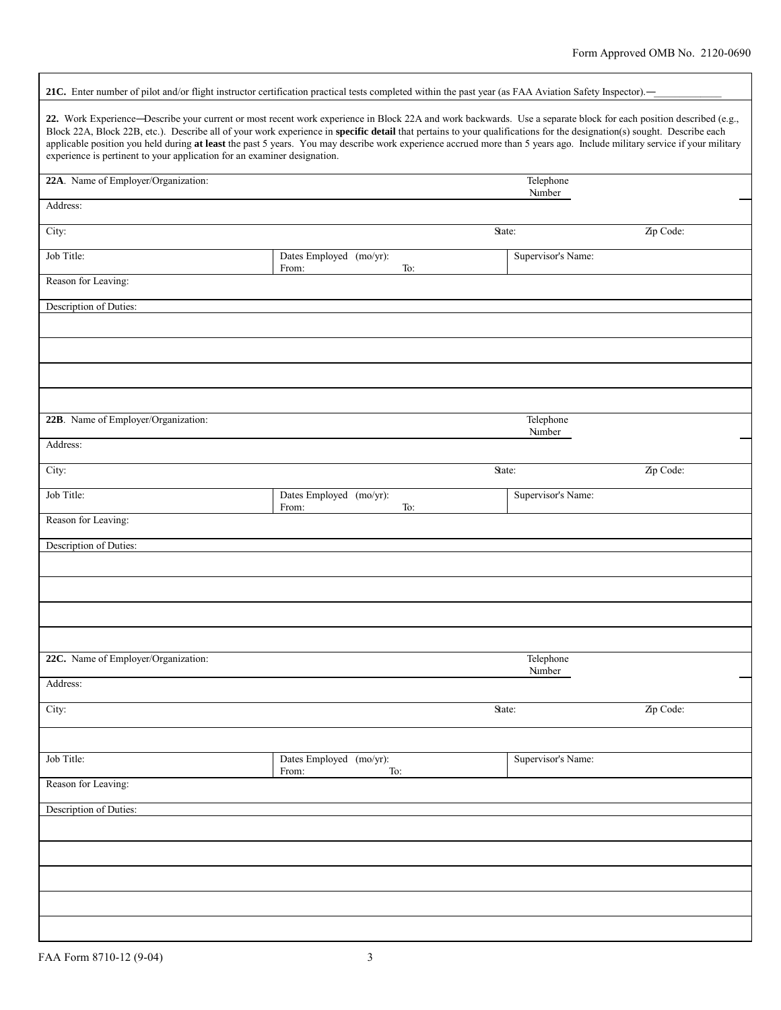| 21C. Enter number of pilot and/or flight instructor certification practical tests completed within the past year (as FAA Aviation Safety Inspector).-                                                                                                                                                                                                                                                                                                                                                                                                                                               |                                         |                     |           |  |  |  |  |
|-----------------------------------------------------------------------------------------------------------------------------------------------------------------------------------------------------------------------------------------------------------------------------------------------------------------------------------------------------------------------------------------------------------------------------------------------------------------------------------------------------------------------------------------------------------------------------------------------------|-----------------------------------------|---------------------|-----------|--|--|--|--|
| 22. Work Experience-Describe your current or most recent work experience in Block 22A and work backwards. Use a separate block for each position described (e.g.,<br>Block 22A, Block 22B, etc.). Describe all of your work experience in specific detail that pertains to your qualifications for the designation(s) sought. Describe each<br>applicable position you held during at least the past 5 years. You may describe work experience accrued more than 5 years ago. Include military service if your military<br>experience is pertinent to your application for an examiner designation. |                                         |                     |           |  |  |  |  |
| 22A. Name of Employer/Organization:<br>Telephone                                                                                                                                                                                                                                                                                                                                                                                                                                                                                                                                                    |                                         |                     |           |  |  |  |  |
| Address:                                                                                                                                                                                                                                                                                                                                                                                                                                                                                                                                                                                            |                                         | Number              |           |  |  |  |  |
| City:                                                                                                                                                                                                                                                                                                                                                                                                                                                                                                                                                                                               |                                         | State:              | Zip Code: |  |  |  |  |
| Job Title:                                                                                                                                                                                                                                                                                                                                                                                                                                                                                                                                                                                          | Dates Employed (mo/yr):                 | Supervisor's Name:  |           |  |  |  |  |
| Reason for Leaving:                                                                                                                                                                                                                                                                                                                                                                                                                                                                                                                                                                                 | From:<br>To:                            |                     |           |  |  |  |  |
| Description of Duties:                                                                                                                                                                                                                                                                                                                                                                                                                                                                                                                                                                              |                                         |                     |           |  |  |  |  |
|                                                                                                                                                                                                                                                                                                                                                                                                                                                                                                                                                                                                     |                                         |                     |           |  |  |  |  |
|                                                                                                                                                                                                                                                                                                                                                                                                                                                                                                                                                                                                     |                                         |                     |           |  |  |  |  |
|                                                                                                                                                                                                                                                                                                                                                                                                                                                                                                                                                                                                     |                                         |                     |           |  |  |  |  |
|                                                                                                                                                                                                                                                                                                                                                                                                                                                                                                                                                                                                     |                                         |                     |           |  |  |  |  |
| 22B. Name of Employer/Organization:                                                                                                                                                                                                                                                                                                                                                                                                                                                                                                                                                                 |                                         | Telephone           |           |  |  |  |  |
| Address:                                                                                                                                                                                                                                                                                                                                                                                                                                                                                                                                                                                            |                                         | Number              |           |  |  |  |  |
| City:                                                                                                                                                                                                                                                                                                                                                                                                                                                                                                                                                                                               |                                         | State:              | Zip Code: |  |  |  |  |
| Job Title:                                                                                                                                                                                                                                                                                                                                                                                                                                                                                                                                                                                          | Dates Employed (mo/yr):<br>To:<br>From: | Supervisor's Name:  |           |  |  |  |  |
| Reason for Leaving:                                                                                                                                                                                                                                                                                                                                                                                                                                                                                                                                                                                 |                                         |                     |           |  |  |  |  |
| Description of Duties:                                                                                                                                                                                                                                                                                                                                                                                                                                                                                                                                                                              |                                         |                     |           |  |  |  |  |
|                                                                                                                                                                                                                                                                                                                                                                                                                                                                                                                                                                                                     |                                         |                     |           |  |  |  |  |
|                                                                                                                                                                                                                                                                                                                                                                                                                                                                                                                                                                                                     |                                         |                     |           |  |  |  |  |
|                                                                                                                                                                                                                                                                                                                                                                                                                                                                                                                                                                                                     |                                         |                     |           |  |  |  |  |
|                                                                                                                                                                                                                                                                                                                                                                                                                                                                                                                                                                                                     |                                         |                     |           |  |  |  |  |
| 22C. Name of Employer/Organization:                                                                                                                                                                                                                                                                                                                                                                                                                                                                                                                                                                 |                                         | Telephone<br>Number |           |  |  |  |  |
| Address:                                                                                                                                                                                                                                                                                                                                                                                                                                                                                                                                                                                            |                                         |                     |           |  |  |  |  |
| City:                                                                                                                                                                                                                                                                                                                                                                                                                                                                                                                                                                                               |                                         | State:              | Zip Code: |  |  |  |  |
|                                                                                                                                                                                                                                                                                                                                                                                                                                                                                                                                                                                                     |                                         |                     |           |  |  |  |  |
| Job Title:                                                                                                                                                                                                                                                                                                                                                                                                                                                                                                                                                                                          | Dates Employed (mo/yr):<br>From:<br>To: | Supervisor's Name:  |           |  |  |  |  |
| Reason for Leaving:                                                                                                                                                                                                                                                                                                                                                                                                                                                                                                                                                                                 |                                         |                     |           |  |  |  |  |
| Description of Duties:                                                                                                                                                                                                                                                                                                                                                                                                                                                                                                                                                                              |                                         |                     |           |  |  |  |  |
|                                                                                                                                                                                                                                                                                                                                                                                                                                                                                                                                                                                                     |                                         |                     |           |  |  |  |  |
|                                                                                                                                                                                                                                                                                                                                                                                                                                                                                                                                                                                                     |                                         |                     |           |  |  |  |  |
|                                                                                                                                                                                                                                                                                                                                                                                                                                                                                                                                                                                                     |                                         |                     |           |  |  |  |  |
|                                                                                                                                                                                                                                                                                                                                                                                                                                                                                                                                                                                                     |                                         |                     |           |  |  |  |  |
|                                                                                                                                                                                                                                                                                                                                                                                                                                                                                                                                                                                                     |                                         |                     |           |  |  |  |  |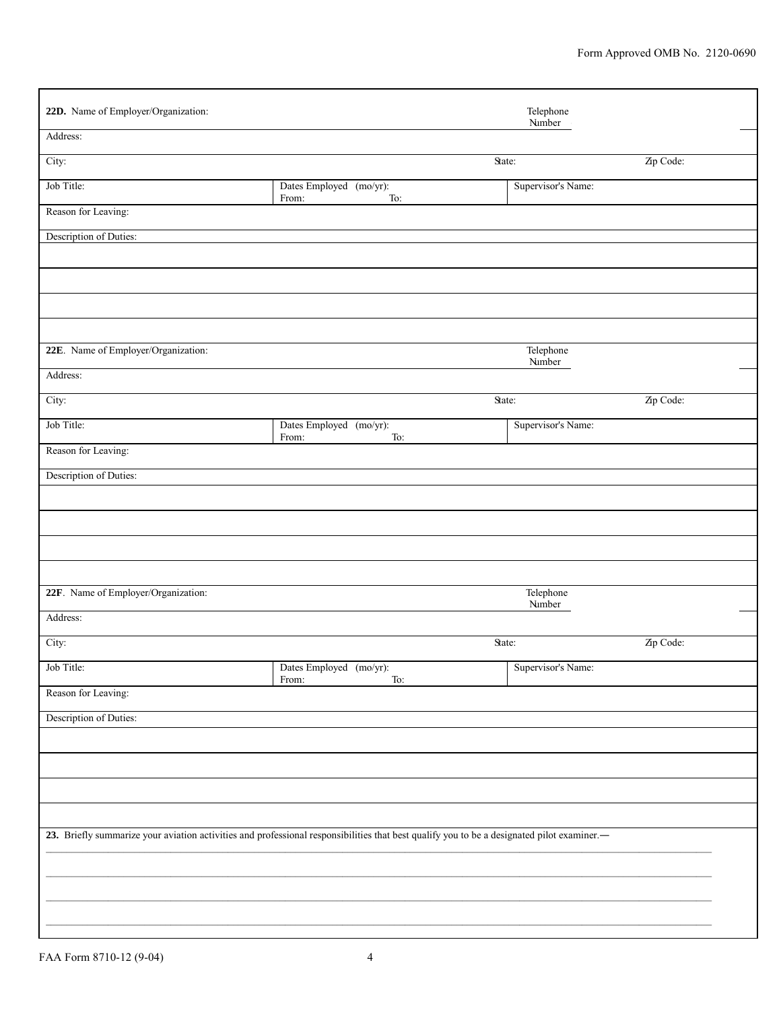| 22D. Name of Employer/Organization: |                                                                                                                                           | Telephone<br>Number |           |
|-------------------------------------|-------------------------------------------------------------------------------------------------------------------------------------------|---------------------|-----------|
| Address:                            |                                                                                                                                           |                     |           |
| City:                               | State:                                                                                                                                    |                     | Zip Code: |
| Job Title:                          | Dates Employed (mo/yr):<br>To:<br>From:                                                                                                   | Supervisor's Name:  |           |
| Reason for Leaving:                 |                                                                                                                                           |                     |           |
| Description of Duties:              |                                                                                                                                           |                     |           |
|                                     |                                                                                                                                           |                     |           |
|                                     |                                                                                                                                           |                     |           |
|                                     |                                                                                                                                           |                     |           |
| 22E. Name of Employer/Organization: |                                                                                                                                           |                     |           |
|                                     |                                                                                                                                           | Telephone<br>Number |           |
| Address:                            |                                                                                                                                           |                     |           |
| City:                               | State:                                                                                                                                    |                     | Zip Code: |
| Job Title:                          | Dates Employed (mo/yr):<br>From:<br>To:                                                                                                   | Supervisor's Name:  |           |
| Reason for Leaving:                 |                                                                                                                                           |                     |           |
| Description of Duties:              |                                                                                                                                           |                     |           |
|                                     |                                                                                                                                           |                     |           |
|                                     |                                                                                                                                           |                     |           |
|                                     |                                                                                                                                           |                     |           |
|                                     |                                                                                                                                           |                     |           |
| 22F. Name of Employer/Organization: |                                                                                                                                           | Telephone<br>Number |           |
| Address:                            |                                                                                                                                           |                     |           |
| City:                               | State:                                                                                                                                    |                     | Zip Code: |
| Job Title:                          | Dates Employed (mo/yr):<br>From:<br>To:                                                                                                   | Supervisor's Name:  |           |
| Reason for Leaving:                 |                                                                                                                                           |                     |           |
| Description of Duties:              |                                                                                                                                           |                     |           |
|                                     |                                                                                                                                           |                     |           |
|                                     |                                                                                                                                           |                     |           |
|                                     |                                                                                                                                           |                     |           |
|                                     |                                                                                                                                           |                     |           |
|                                     | 23. Briefly summarize your aviation activities and professional responsibilities that best qualify you to be a designated pilot examiner. |                     |           |
|                                     |                                                                                                                                           |                     |           |
|                                     |                                                                                                                                           |                     |           |
|                                     |                                                                                                                                           |                     |           |
|                                     |                                                                                                                                           |                     |           |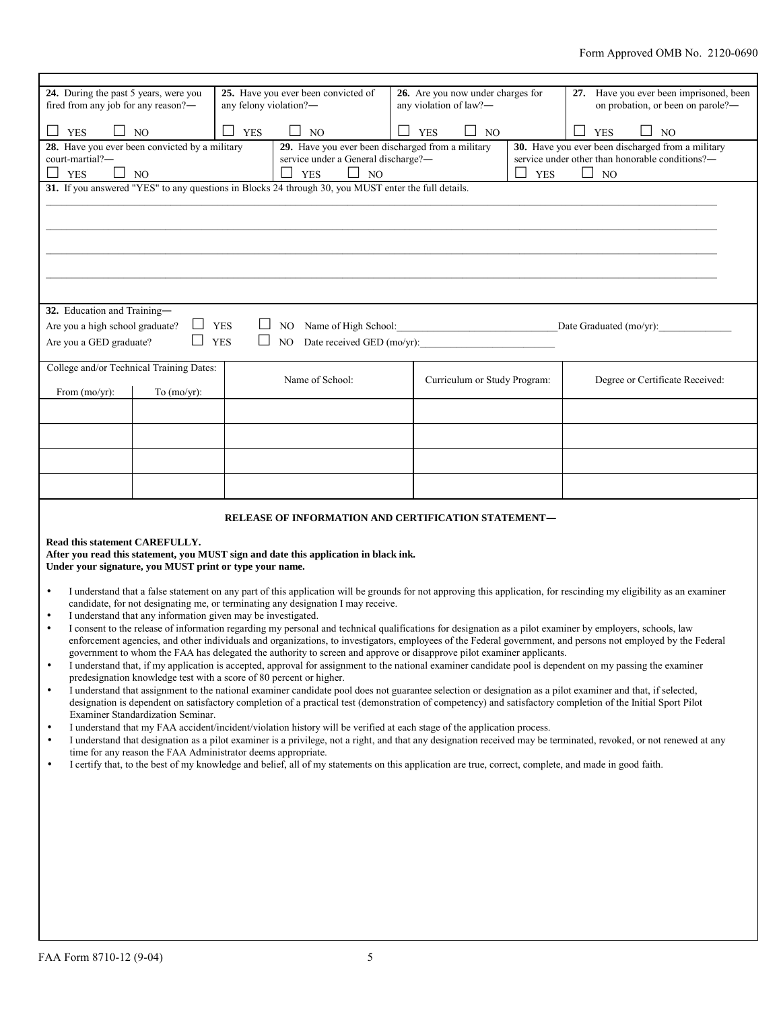| 24. During the past 5 years, were you<br>fired from any job for any reason?-                              |                                                                                                                                                                                                                                                                                                                                                                                                                                                                                                                     | any felony violation?- | 25. Have you ever been convicted of                                                                                                                   |  | 26. Are you now under charges for<br>any violation of law?- |            | 27. Have you ever been imprisoned, been<br>on probation, or been on parole?-                                                                                         |
|-----------------------------------------------------------------------------------------------------------|---------------------------------------------------------------------------------------------------------------------------------------------------------------------------------------------------------------------------------------------------------------------------------------------------------------------------------------------------------------------------------------------------------------------------------------------------------------------------------------------------------------------|------------------------|-------------------------------------------------------------------------------------------------------------------------------------------------------|--|-------------------------------------------------------------|------------|----------------------------------------------------------------------------------------------------------------------------------------------------------------------|
| П<br>$\Box$<br><b>YES</b>                                                                                 | N <sub>O</sub>                                                                                                                                                                                                                                                                                                                                                                                                                                                                                                      | П                      | $\Box$ NO<br><b>YES</b><br>$\Box$ NO<br><b>YES</b><br><b>YES</b><br>$\Box$                                                                            |  |                                                             | NO         |                                                                                                                                                                      |
| 28. Have you ever been convicted by a military                                                            |                                                                                                                                                                                                                                                                                                                                                                                                                                                                                                                     |                        | 29. Have you ever been discharged from a military<br>30. Have you ever been discharged from a military                                                |  |                                                             |            |                                                                                                                                                                      |
| court-martial?-<br>service under a General discharge?-<br>service under other than honorable conditions?- |                                                                                                                                                                                                                                                                                                                                                                                                                                                                                                                     |                        |                                                                                                                                                       |  |                                                             |            |                                                                                                                                                                      |
| П<br><b>YES</b>                                                                                           | NO <sub>1</sub>                                                                                                                                                                                                                                                                                                                                                                                                                                                                                                     |                        | <b>YES</b><br>$\Box$ NO<br>31. If you answered "YES" to any questions in Blocks 24 through 30, you MUST enter the full details.                       |  |                                                             | <b>YES</b> | NO <sub>1</sub>                                                                                                                                                      |
|                                                                                                           |                                                                                                                                                                                                                                                                                                                                                                                                                                                                                                                     |                        |                                                                                                                                                       |  |                                                             |            |                                                                                                                                                                      |
|                                                                                                           |                                                                                                                                                                                                                                                                                                                                                                                                                                                                                                                     |                        |                                                                                                                                                       |  |                                                             |            |                                                                                                                                                                      |
|                                                                                                           |                                                                                                                                                                                                                                                                                                                                                                                                                                                                                                                     |                        |                                                                                                                                                       |  |                                                             |            |                                                                                                                                                                      |
|                                                                                                           |                                                                                                                                                                                                                                                                                                                                                                                                                                                                                                                     |                        |                                                                                                                                                       |  |                                                             |            |                                                                                                                                                                      |
|                                                                                                           |                                                                                                                                                                                                                                                                                                                                                                                                                                                                                                                     |                        |                                                                                                                                                       |  |                                                             |            |                                                                                                                                                                      |
|                                                                                                           |                                                                                                                                                                                                                                                                                                                                                                                                                                                                                                                     |                        |                                                                                                                                                       |  |                                                             |            |                                                                                                                                                                      |
| 32. Education and Training-                                                                               |                                                                                                                                                                                                                                                                                                                                                                                                                                                                                                                     |                        |                                                                                                                                                       |  |                                                             |            |                                                                                                                                                                      |
| Are you a high school graduate?                                                                           | ⊔                                                                                                                                                                                                                                                                                                                                                                                                                                                                                                                   | <b>YES</b><br>⊔        | NO Name of High School: 2008                                                                                                                          |  |                                                             |            | Date Graduated (mo/yr):                                                                                                                                              |
| Are you a GED graduate?                                                                                   | П                                                                                                                                                                                                                                                                                                                                                                                                                                                                                                                   | <b>YES</b><br>$\Box$   | NO                                                                                                                                                    |  | Date received GED (mo/yr):                                  |            |                                                                                                                                                                      |
|                                                                                                           |                                                                                                                                                                                                                                                                                                                                                                                                                                                                                                                     |                        |                                                                                                                                                       |  |                                                             |            |                                                                                                                                                                      |
|                                                                                                           | College and/or Technical Training Dates:                                                                                                                                                                                                                                                                                                                                                                                                                                                                            |                        | Name of School:                                                                                                                                       |  | Curriculum or Study Program:                                |            | Degree or Certificate Received:                                                                                                                                      |
| From $(mo/yr)$ :                                                                                          | To $(mo/yr)$ :                                                                                                                                                                                                                                                                                                                                                                                                                                                                                                      |                        |                                                                                                                                                       |  |                                                             |            |                                                                                                                                                                      |
|                                                                                                           |                                                                                                                                                                                                                                                                                                                                                                                                                                                                                                                     |                        |                                                                                                                                                       |  |                                                             |            |                                                                                                                                                                      |
|                                                                                                           |                                                                                                                                                                                                                                                                                                                                                                                                                                                                                                                     |                        |                                                                                                                                                       |  |                                                             |            |                                                                                                                                                                      |
|                                                                                                           |                                                                                                                                                                                                                                                                                                                                                                                                                                                                                                                     |                        |                                                                                                                                                       |  |                                                             |            |                                                                                                                                                                      |
|                                                                                                           |                                                                                                                                                                                                                                                                                                                                                                                                                                                                                                                     |                        |                                                                                                                                                       |  |                                                             |            |                                                                                                                                                                      |
|                                                                                                           |                                                                                                                                                                                                                                                                                                                                                                                                                                                                                                                     |                        |                                                                                                                                                       |  |                                                             |            |                                                                                                                                                                      |
|                                                                                                           |                                                                                                                                                                                                                                                                                                                                                                                                                                                                                                                     |                        |                                                                                                                                                       |  |                                                             |            |                                                                                                                                                                      |
|                                                                                                           |                                                                                                                                                                                                                                                                                                                                                                                                                                                                                                                     |                        | RELEASE OF INFORMATION AND CERTIFICATION STATEMENT-                                                                                                   |  |                                                             |            |                                                                                                                                                                      |
| Read this statement CAREFULLY.                                                                            |                                                                                                                                                                                                                                                                                                                                                                                                                                                                                                                     |                        |                                                                                                                                                       |  |                                                             |            |                                                                                                                                                                      |
| After you read this statement, you MUST sign and date this application in black ink.                      |                                                                                                                                                                                                                                                                                                                                                                                                                                                                                                                     |                        |                                                                                                                                                       |  |                                                             |            |                                                                                                                                                                      |
|                                                                                                           | Under your signature, you MUST print or type your name.                                                                                                                                                                                                                                                                                                                                                                                                                                                             |                        |                                                                                                                                                       |  |                                                             |            |                                                                                                                                                                      |
| $\bullet$                                                                                                 |                                                                                                                                                                                                                                                                                                                                                                                                                                                                                                                     |                        |                                                                                                                                                       |  |                                                             |            | I understand that a false statement on any part of this application will be grounds for not approving this application, for rescinding my eligibility as an examiner |
|                                                                                                           |                                                                                                                                                                                                                                                                                                                                                                                                                                                                                                                     |                        | candidate, for not designating me, or terminating any designation I may receive.                                                                      |  |                                                             |            |                                                                                                                                                                      |
| $\bullet$                                                                                                 | I understand that any information given may be investigated.<br>I consent to the release of information regarding my personal and technical qualifications for designation as a pilot examiner by employers, schools, law<br>enforcement agencies, and other individuals and organizations, to investigators, employees of the Federal government, and persons not employed by the Federal<br>government to whom the FAA has delegated the authority to screen and approve or disapprove pilot examiner applicants. |                        |                                                                                                                                                       |  |                                                             |            |                                                                                                                                                                      |
|                                                                                                           |                                                                                                                                                                                                                                                                                                                                                                                                                                                                                                                     |                        |                                                                                                                                                       |  |                                                             |            |                                                                                                                                                                      |
| $\bullet$                                                                                                 |                                                                                                                                                                                                                                                                                                                                                                                                                                                                                                                     |                        |                                                                                                                                                       |  |                                                             |            | I understand that, if my application is accepted, approval for assignment to the national examiner candidate pool is dependent on my passing the examiner            |
|                                                                                                           | predesignation knowledge test with a score of 80 percent or higher.                                                                                                                                                                                                                                                                                                                                                                                                                                                 |                        |                                                                                                                                                       |  |                                                             |            |                                                                                                                                                                      |
| $\bullet$                                                                                                 | I understand that assignment to the national examiner candidate pool does not guarantee selection or designation as a pilot examiner and that, if selected,<br>designation is dependent on satisfactory completion of a practical test (demonstration of competency) and satisfactory completion of the Initial Sport Pilot                                                                                                                                                                                         |                        |                                                                                                                                                       |  |                                                             |            |                                                                                                                                                                      |
| Examiner Standardization Seminar.                                                                         |                                                                                                                                                                                                                                                                                                                                                                                                                                                                                                                     |                        |                                                                                                                                                       |  |                                                             |            |                                                                                                                                                                      |
| $\bullet$                                                                                                 | I understand that my FAA accident/incident/violation history will be verified at each stage of the application process.                                                                                                                                                                                                                                                                                                                                                                                             |                        |                                                                                                                                                       |  |                                                             |            |                                                                                                                                                                      |
| $\bullet$                                                                                                 | I understand that designation as a pilot examiner is a privilege, not a right, and that any designation received may be terminated, revoked, or not renewed at any<br>time for any reason the FAA Administrator deems appropriate.                                                                                                                                                                                                                                                                                  |                        |                                                                                                                                                       |  |                                                             |            |                                                                                                                                                                      |
| $\bullet$                                                                                                 |                                                                                                                                                                                                                                                                                                                                                                                                                                                                                                                     |                        | I certify that, to the best of my knowledge and belief, all of my statements on this application are true, correct, complete, and made in good faith. |  |                                                             |            |                                                                                                                                                                      |
|                                                                                                           |                                                                                                                                                                                                                                                                                                                                                                                                                                                                                                                     |                        |                                                                                                                                                       |  |                                                             |            |                                                                                                                                                                      |
|                                                                                                           |                                                                                                                                                                                                                                                                                                                                                                                                                                                                                                                     |                        |                                                                                                                                                       |  |                                                             |            |                                                                                                                                                                      |
|                                                                                                           |                                                                                                                                                                                                                                                                                                                                                                                                                                                                                                                     |                        |                                                                                                                                                       |  |                                                             |            |                                                                                                                                                                      |
|                                                                                                           |                                                                                                                                                                                                                                                                                                                                                                                                                                                                                                                     |                        |                                                                                                                                                       |  |                                                             |            |                                                                                                                                                                      |
|                                                                                                           |                                                                                                                                                                                                                                                                                                                                                                                                                                                                                                                     |                        |                                                                                                                                                       |  |                                                             |            |                                                                                                                                                                      |
|                                                                                                           |                                                                                                                                                                                                                                                                                                                                                                                                                                                                                                                     |                        |                                                                                                                                                       |  |                                                             |            |                                                                                                                                                                      |
|                                                                                                           |                                                                                                                                                                                                                                                                                                                                                                                                                                                                                                                     |                        |                                                                                                                                                       |  |                                                             |            |                                                                                                                                                                      |
|                                                                                                           |                                                                                                                                                                                                                                                                                                                                                                                                                                                                                                                     |                        |                                                                                                                                                       |  |                                                             |            |                                                                                                                                                                      |
|                                                                                                           |                                                                                                                                                                                                                                                                                                                                                                                                                                                                                                                     |                        |                                                                                                                                                       |  |                                                             |            |                                                                                                                                                                      |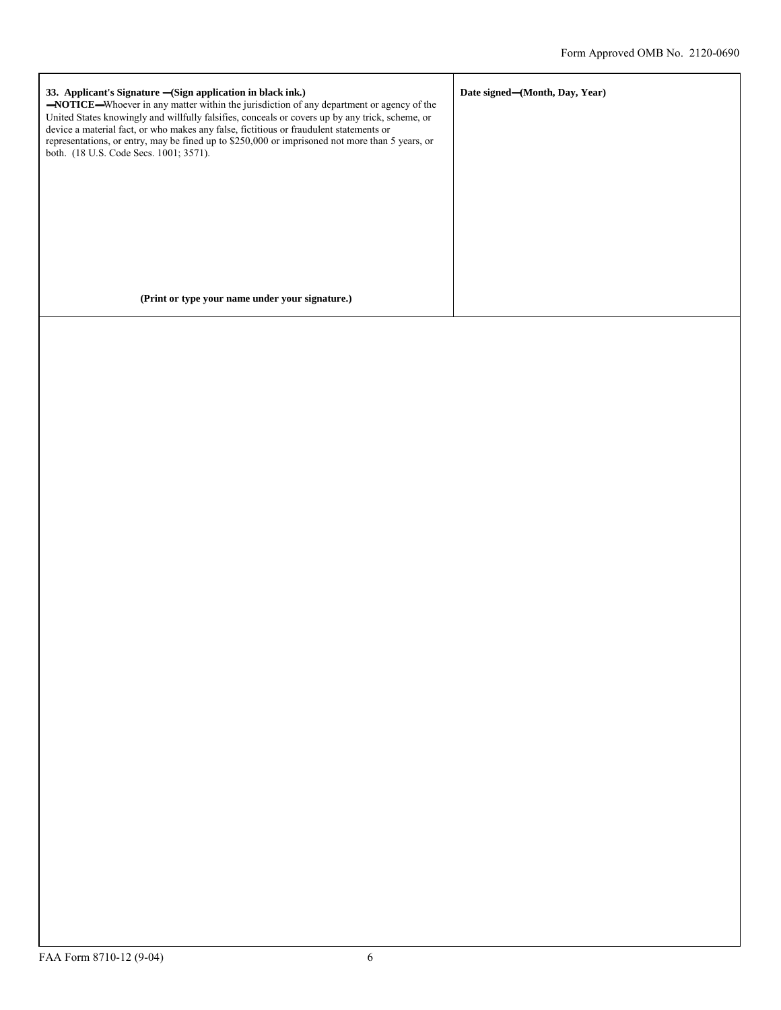| 33. Applicant's Signature – (Sign application in black ink.)<br><b>-NOTICE</b> —Whoever in any matter within the jurisdiction of any department or agency of the<br>United States knowingly and willfully falsifies, conceals or covers up by any trick, scheme, or<br>device a material fact, or who makes any false, fictitious or fraudulent statements or<br>representations, or entry, may be fined up to \$250,000 or imprisoned not more than 5 years, or<br>both. (18 U.S. Code Secs. 1001; 3571). | Date signed—(Month, Day, Year) |
|------------------------------------------------------------------------------------------------------------------------------------------------------------------------------------------------------------------------------------------------------------------------------------------------------------------------------------------------------------------------------------------------------------------------------------------------------------------------------------------------------------|--------------------------------|
| (Print or type your name under your signature.)                                                                                                                                                                                                                                                                                                                                                                                                                                                            |                                |